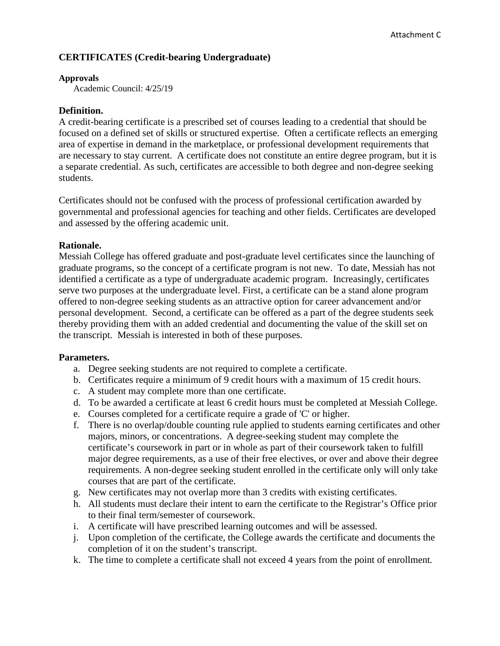# **CERTIFICATES (Credit-bearing Undergraduate)**

#### **Approvals**

Academic Council: 4/25/19

## **Definition.**

A credit-bearing certificate is a prescribed set of courses leading to a credential that should be focused on a defined set of skills or structured expertise. Often a certificate reflects an emerging area of expertise in demand in the marketplace, or professional development requirements that are necessary to stay current. A certificate does not constitute an entire degree program, but it is a separate credential. As such, certificates are accessible to both degree and non-degree seeking students.

Certificates should not be confused with the process of professional certification awarded by governmental and professional agencies for teaching and other fields. Certificates are developed and assessed by the offering academic unit.

# **Rationale.**

Messiah College has offered graduate and post-graduate level certificates since the launching of graduate programs, so the concept of a certificate program is not new. To date, Messiah has not identified a certificate as a type of undergraduate academic program. Increasingly, certificates serve two purposes at the undergraduate level. First, a certificate can be a stand alone program offered to non-degree seeking students as an attractive option for career advancement and/or personal development. Second, a certificate can be offered as a part of the degree students seek thereby providing them with an added credential and documenting the value of the skill set on the transcript. Messiah is interested in both of these purposes.

### **Parameters.**

- a. Degree seeking students are not required to complete a certificate.
- b. Certificates require a minimum of 9 credit hours with a maximum of 15 credit hours.
- c. A student may complete more than one certificate.
- d. To be awarded a certificate at least 6 credit hours must be completed at Messiah College.
- e. Courses completed for a certificate require a grade of 'C' or higher.
- f. There is no overlap/double counting rule applied to students earning certificates and other majors, minors, or concentrations. A degree-seeking student may complete the certificate's coursework in part or in whole as part of their coursework taken to fulfill major degree requirements, as a use of their free electives, or over and above their degree requirements. A non-degree seeking student enrolled in the certificate only will only take courses that are part of the certificate.
- g. New certificates may not overlap more than 3 credits with existing certificates.
- h. All students must declare their intent to earn the certificate to the Registrar's Office prior to their final term/semester of coursework.
- i. A certificate will have prescribed learning outcomes and will be assessed.
- j. Upon completion of the certificate, the College awards the certificate and documents the completion of it on the student's transcript.
- k. The time to complete a certificate shall not exceed 4 years from the point of enrollment*.*